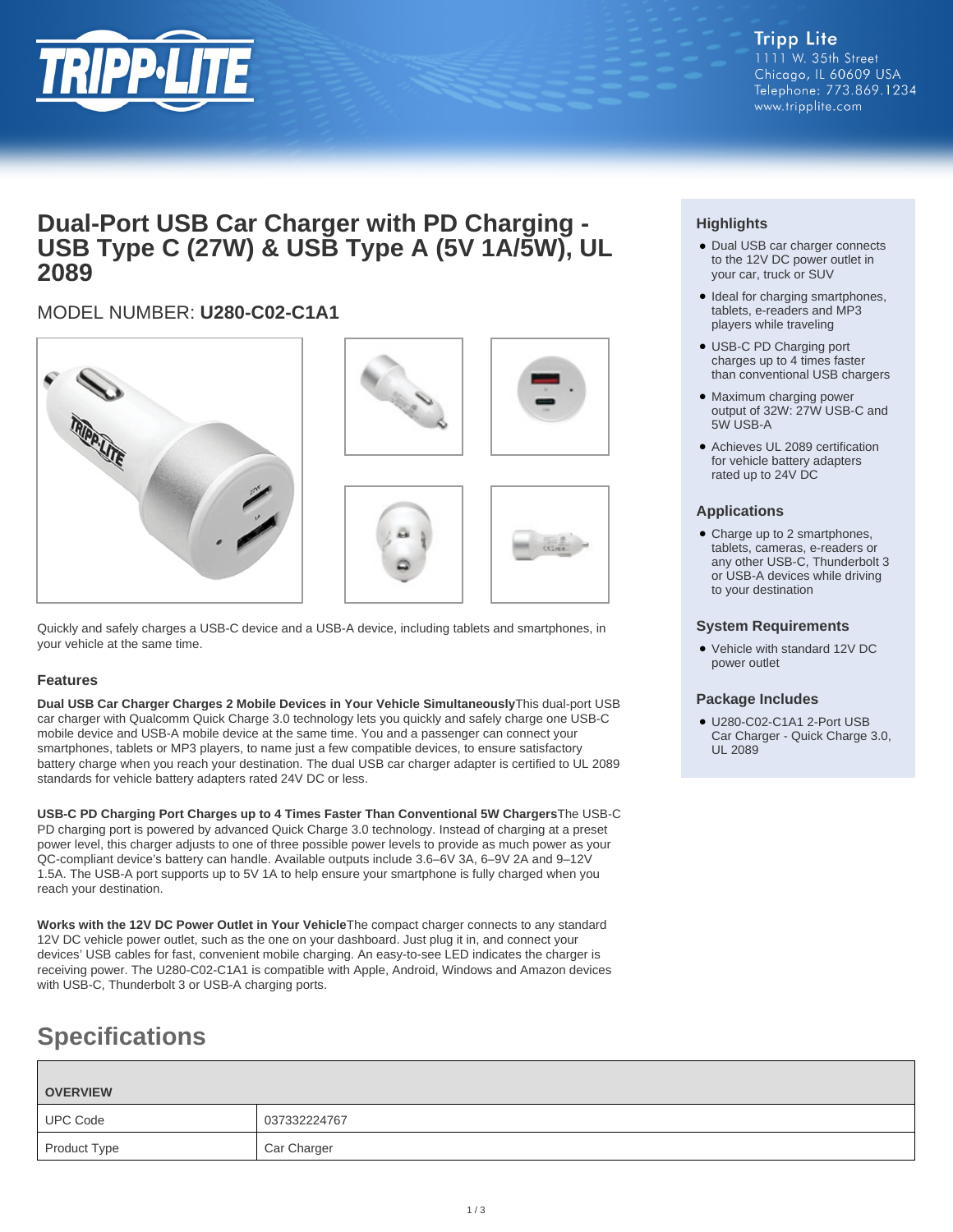

## **Dual-Port USB Car Charger with PD Charging - USB Type C (27W) & USB Type A (5V 1A/5W), UL 2089**

## MODEL NUMBER: **U280-C02-C1A1**



Quickly and safely charges a USB-C device and a USB-A device, including tablets and smartphones, in your vehicle at the same time.

## **Features**

**Dual USB Car Charger Charges 2 Mobile Devices in Your Vehicle Simultaneously**This dual-port USB car charger with Qualcomm Quick Charge 3.0 technology lets you quickly and safely charge one USB-C mobile device and USB-A mobile device at the same time. You and a passenger can connect your smartphones, tablets or MP3 players, to name just a few compatible devices, to ensure satisfactory battery charge when you reach your destination. The dual USB car charger adapter is certified to UL 2089 standards for vehicle battery adapters rated 24V DC or less.

**USB-C PD Charging Port Charges up to 4 Times Faster Than Conventional 5W Chargers**The USB-C PD charging port is powered by advanced Quick Charge 3.0 technology. Instead of charging at a preset power level, this charger adjusts to one of three possible power levels to provide as much power as your QC-compliant device's battery can handle. Available outputs include 3.6–6V 3A, 6–9V 2A and 9–12V 1.5A. The USB-A port supports up to 5V 1A to help ensure your smartphone is fully charged when you reach your destination.

**Works with the 12V DC Power Outlet in Your Vehicle**The compact charger connects to any standard 12V DC vehicle power outlet, such as the one on your dashboard. Just plug it in, and connect your devices' USB cables for fast, convenient mobile charging. An easy-to-see LED indicates the charger is receiving power. The U280-C02-C1A1 is compatible with Apple, Android, Windows and Amazon devices with USB-C, Thunderbolt 3 or USB-A charging ports.

# **Specifications**

| <b>OVERVIEW</b> |              |
|-----------------|--------------|
| <b>UPC Code</b> | 037332224767 |
| Product Type    | Car Charger  |

## **Highlights**

- Dual USB car charger connects to the 12V DC power outlet in your car, truck or SUV
- Ideal for charging smartphones, tablets, e-readers and MP3 players while traveling
- USB-C PD Charging port charges up to 4 times faster than conventional USB chargers
- Maximum charging power output of 32W: 27W USB-C and 5W USB-A
- Achieves UL 2089 certification for vehicle battery adapters rated up to 24V DC

### **Applications**

• Charge up to 2 smartphones, tablets, cameras, e-readers or any other USB-C, Thunderbolt 3 or USB-A devices while driving to your destination

#### **System Requirements**

Vehicle with standard 12V DC ● power outlet

#### **Package Includes**

● U280-C02-C1A1 2-Port USB Car Charger - Quick Charge 3.0, UL 2089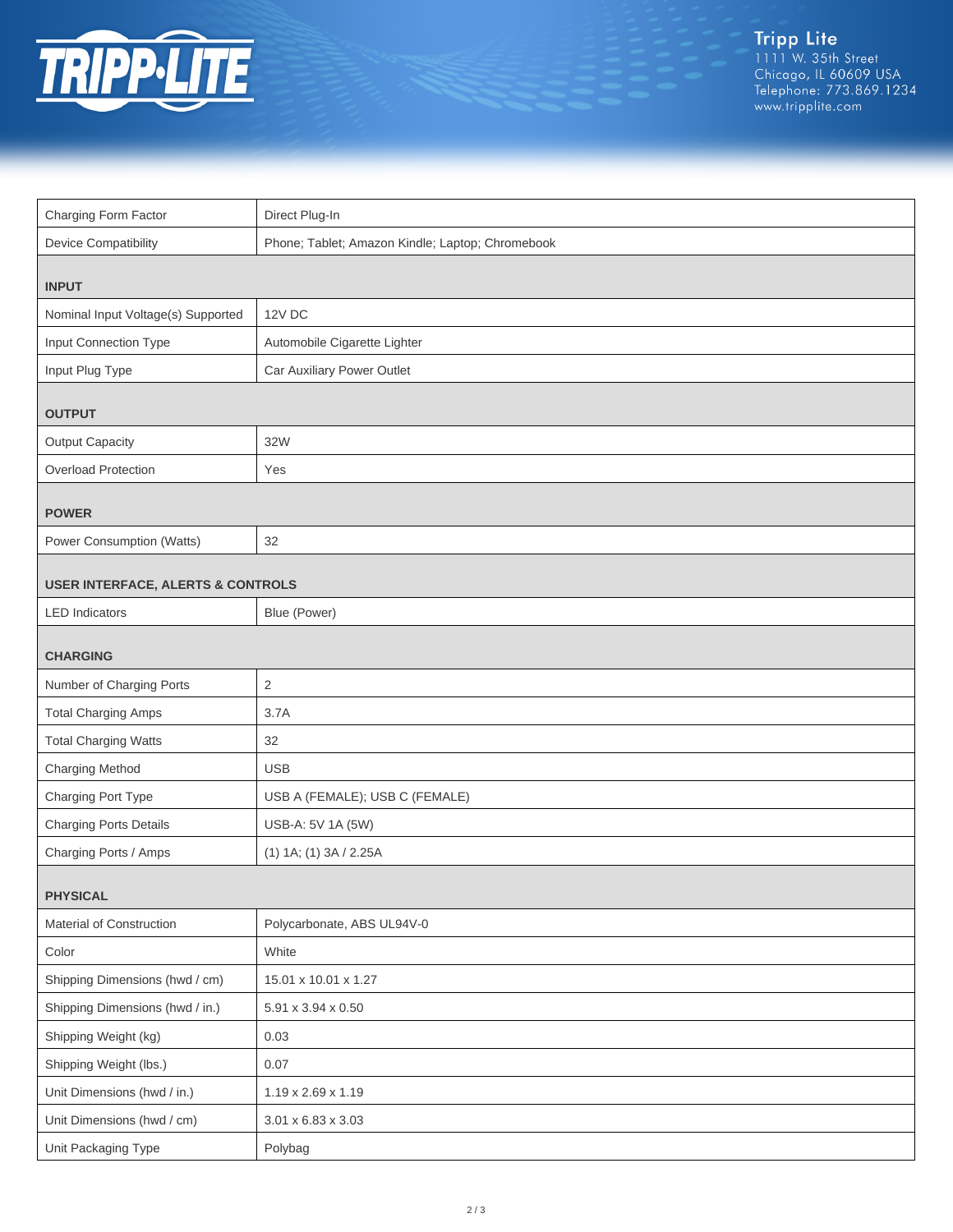

| Charging Form Factor                         | Direct Plug-In                                   |  |
|----------------------------------------------|--------------------------------------------------|--|
| <b>Device Compatibility</b>                  | Phone; Tablet; Amazon Kindle; Laptop; Chromebook |  |
| <b>INPUT</b>                                 |                                                  |  |
| Nominal Input Voltage(s) Supported           | 12V DC                                           |  |
| Input Connection Type                        | Automobile Cigarette Lighter                     |  |
| Input Plug Type                              | Car Auxiliary Power Outlet                       |  |
| <b>OUTPUT</b>                                |                                                  |  |
| <b>Output Capacity</b>                       | 32W                                              |  |
| Overload Protection                          | Yes                                              |  |
| <b>POWER</b>                                 |                                                  |  |
| Power Consumption (Watts)                    | 32                                               |  |
| <b>USER INTERFACE, ALERTS &amp; CONTROLS</b> |                                                  |  |
| <b>LED</b> Indicators                        | Blue (Power)                                     |  |
| <b>CHARGING</b>                              |                                                  |  |
| Number of Charging Ports                     | 2                                                |  |
| <b>Total Charging Amps</b>                   | 3.7A                                             |  |
| <b>Total Charging Watts</b>                  | 32                                               |  |
| <b>Charging Method</b>                       | <b>USB</b>                                       |  |
| Charging Port Type                           | USB A (FEMALE); USB C (FEMALE)                   |  |
| <b>Charging Ports Details</b>                | USB-A: 5V 1A (5W)                                |  |
| Charging Ports / Amps                        | (1) 1A; (1) 3A / 2.25A                           |  |
| <b>PHYSICAL</b>                              |                                                  |  |
| Material of Construction                     | Polycarbonate, ABS UL94V-0                       |  |
| Color                                        | White                                            |  |
| Shipping Dimensions (hwd / cm)               | 15.01 x 10.01 x 1.27                             |  |
| Shipping Dimensions (hwd / in.)              | 5.91 x 3.94 x 0.50                               |  |
| Shipping Weight (kg)                         | 0.03                                             |  |
| Shipping Weight (lbs.)                       | 0.07                                             |  |
| Unit Dimensions (hwd / in.)                  | 1.19 x 2.69 x 1.19                               |  |
| Unit Dimensions (hwd / cm)                   | $3.01 \times 6.83 \times 3.03$                   |  |
| Unit Packaging Type                          | Polybag                                          |  |